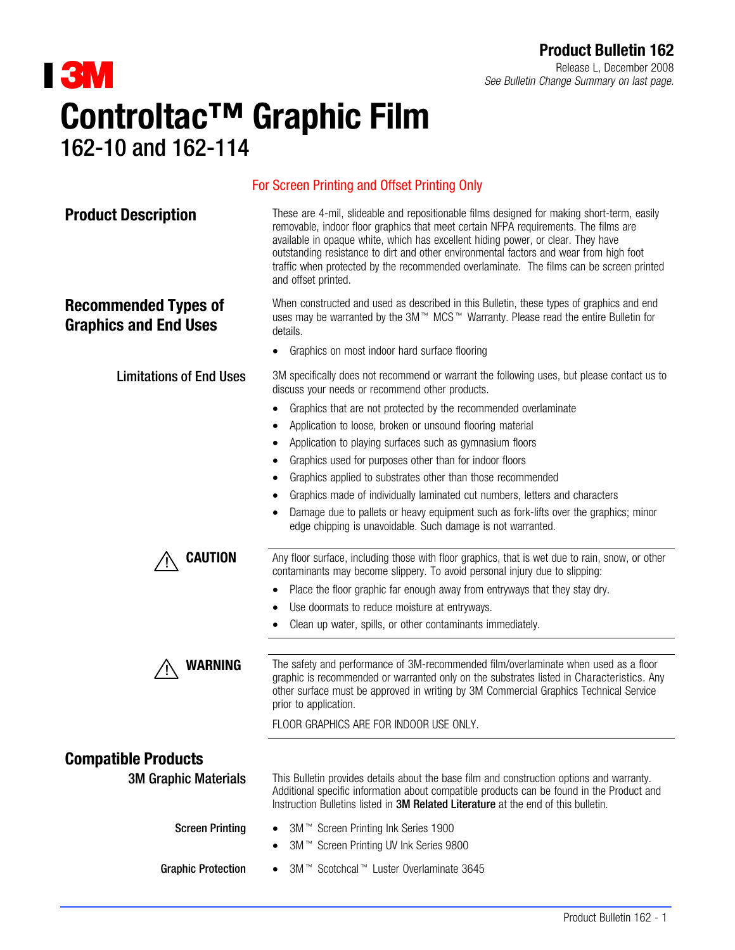# **I 3M** Controltac™ Graphic Film 162-10 and 162-114

Release L, December 2008 See Bulletin Change Summary on last page.

## removable, indoor floor graphics that meet certain NFPA requirements. The films are available in opaque white, which has excellent hiding power, or clear. They have outstanding resistance to dirt and other environmental factors and wear from high foot traffic when protected by the recommended overlaminate. The films can be screen printed and offset printed. Recommended Types of Graphics and End Uses When constructed and used as described in this Bulletin, these types of graphics and end uses may be warranted by the 3M™ MCS™ Warranty. Please read the entire Bulletin for details. • Graphics on most indoor hard surface flooring **Limitations of End Uses** 3M specifically does not recommend or warrant the following uses, but please contact us to discuss your needs or recommend other products. • Graphics that are not protected by the recommended overlaminate • Application to loose, broken or unsound flooring material • Application to playing surfaces such as gymnasium floors • Graphics used for purposes other than for indoor floors • Graphics applied to substrates other than those recommended • Graphics made of individually laminated cut numbers, letters and characters Damage due to pallets or heavy equipment such as fork-lifts over the graphics; minor edge chipping is unavoidable. Such damage is not warranted. **CAUTION** Any floor surface, including those with floor graphics, that is wet due to rain, snow, or other contaminants may become slippery. To avoid personal injury due to slipping: • Place the floor graphic far enough away from entryways that they stay dry. • Use doormats to reduce moisture at entryways. • Clean up water, spills, or other contaminants immediately. **WARNING** The safety and performance of 3M-recommended film/overlaminate when used as a floor graphic is recommended or warranted only on the substrates listed in Characteristics. Any other surface must be approved in writing by 3M Commercial Graphics Technical Service prior to application. FLOOR GRAPHICS ARE FOR INDOOR USE ONLY. Compatible Products **3M Graphic Materials** This Bulletin provides details about the base film and construction options and warranty. Additional specific information about compatible products can be found in the Product and Instruction Bulletins listed in **3M Related Literature** at the end of this bulletin. **Screen Printing** 3M<sup>™</sup> Screen Printing Ink Series 1900 ● 3M<sup>™</sup> Screen Printing UV Ink Series 9800 **Graphic Protection** Scotchcal<sup>™</sup> Luster Overlaminate 3645

For Screen Printing and Offset Printing Only

**Product Description** These are 4-mil, slideable and repositionable films designed for making short-term, easily

### Product Bulletin 162 - 1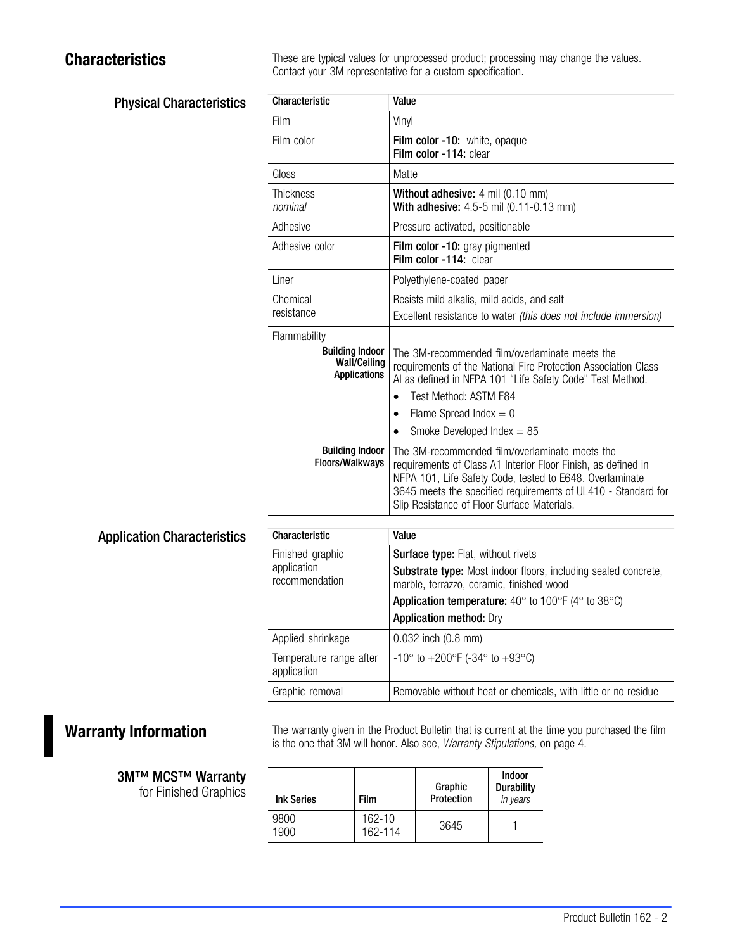Physical Characteristics

**Characteristics** These are typical values for unprocessed product; processing may change the values. Contact your 3M representative for a custom specification.

| Characteristic                                                                       | Value                                                                                                                                                                                                                                                                                        |  |  |
|--------------------------------------------------------------------------------------|----------------------------------------------------------------------------------------------------------------------------------------------------------------------------------------------------------------------------------------------------------------------------------------------|--|--|
| Film                                                                                 | Vinyl                                                                                                                                                                                                                                                                                        |  |  |
| Film color                                                                           | Film color -10: white, opaque<br>Film color -114: clear                                                                                                                                                                                                                                      |  |  |
| Gloss                                                                                | Matte                                                                                                                                                                                                                                                                                        |  |  |
| Thickness<br>nominal                                                                 | Without adhesive: 4 mil (0.10 mm)<br>With adhesive: 4.5-5 mil (0.11-0.13 mm)                                                                                                                                                                                                                 |  |  |
| Adhesive                                                                             | Pressure activated, positionable                                                                                                                                                                                                                                                             |  |  |
| Adhesive color                                                                       | Film color -10: gray pigmented<br>Film color -114: clear                                                                                                                                                                                                                                     |  |  |
| Liner                                                                                | Polyethylene-coated paper                                                                                                                                                                                                                                                                    |  |  |
| Chemical<br>resistance                                                               | Resists mild alkalis, mild acids, and salt<br>Excellent resistance to water (this does not include immersion)                                                                                                                                                                                |  |  |
| Flammability<br><b>Building Indoor</b><br><b>Wall/Ceiling</b><br><b>Applications</b> | The 3M-recommended film/overlaminate meets the<br>requirements of the National Fire Protection Association Class<br>Al as defined in NFPA 101 "Life Safety Code" Test Method.<br>Test Method: ASTM E84<br>Flame Spread Index = $0$<br>$\bullet$<br>Smoke Developed Index $= 85$<br>$\bullet$ |  |  |
| <b>Building Indoor</b><br>Floors/Walkways                                            | The 3M-recommended film/overlaminate meets the<br>requirements of Class A1 Interior Floor Finish, as defined in<br>NFPA 101, Life Safety Code, tested to E648. Overlaminate<br>3645 meets the specified requirements of UL410 - Standard for<br>Slip Resistance of Floor Surface Materials.  |  |  |
| Characteristic                                                                       | Value                                                                                                                                                                                                                                                                                        |  |  |
|                                                                                      |                                                                                                                                                                                                                                                                                              |  |  |
| Finished graphic<br>application<br>recommendation                                    | Surface type: Flat, without rivets<br>Substrate type: Most indoor floors, including sealed concrete,<br>marble, terrazzo, ceramic, finished wood                                                                                                                                             |  |  |
|                                                                                      | Application temperature: $40^{\circ}$ to $100^{\circ}$ F ( $4^{\circ}$ to $38^{\circ}$ C)<br><b>Application method: Dry</b>                                                                                                                                                                  |  |  |
| Applied shrinkage                                                                    | 0.032 inch (0.8 mm)                                                                                                                                                                                                                                                                          |  |  |
| Temperature range after<br>application                                               | -10° to +200°F (-34° to +93°C)                                                                                                                                                                                                                                                               |  |  |
| Graphic removal                                                                      | Removable without heat or chemicals, with little or no residue                                                                                                                                                                                                                               |  |  |

Warranty Information The warranty given in the Product Bulletin that is current at the time you purchased the film is the one that 3M will honor. Also see, Warranty Stipulations, on page 4.

| <b>Ink Series</b> | <b>Film</b>       | Graphic<br>Protection | <b>Indoor</b><br><b>Durability</b><br>in years |
|-------------------|-------------------|-----------------------|------------------------------------------------|
| 9800<br>1900      | 162-10<br>162-114 | 3645                  |                                                |

**3M™ MCS™ Warranty** for Finished Graphics

Application Characteristics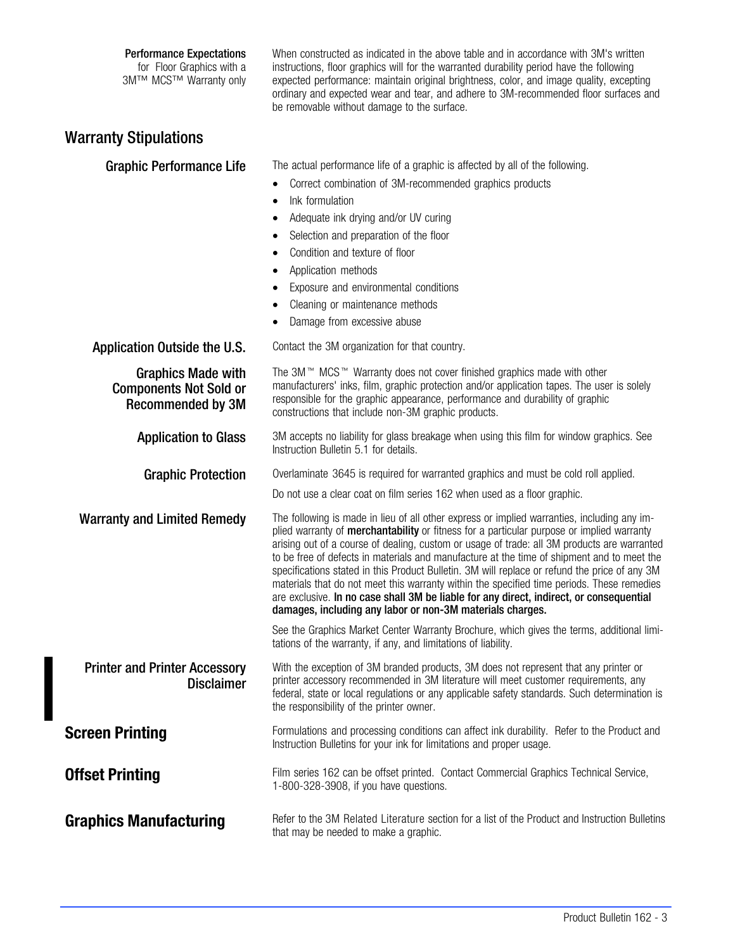### Performance Expectations

 for Floor Graphics with a 3M™ MCS™ Warranty only When constructed as indicated in the above table and in accordance with 3M's written instructions, floor graphics will for the warranted durability period have the following expected performance: maintain original brightness, color, and image quality, excepting ordinary and expected wear and tear, and adhere to 3M-recommended floor surfaces and be removable without damage to the surface.

# Warranty Stipulations

Graphic Performance Life The actual performance life of a graphic is affected by all of the following.

- Correct combination of 3M-recommended graphics products
- Ink formulation
- Adequate ink drying and/or UV curing
- Selection and preparation of the floor
- Condition and texture of floor
- Application methods
- Exposure and environmental conditions
- Cleaning or maintenance methods
- Damage from excessive abuse

Application Outside the U.S. Contact the 3M organization for that country.

| ADDIIGATUIT UUTSIUG THE U.S.                                                           | Contact the only organization for that country.                                                                                                                                                                                                                                                                                                                                                                                                                                                                                                                                                                                                                                                                                                     |
|----------------------------------------------------------------------------------------|-----------------------------------------------------------------------------------------------------------------------------------------------------------------------------------------------------------------------------------------------------------------------------------------------------------------------------------------------------------------------------------------------------------------------------------------------------------------------------------------------------------------------------------------------------------------------------------------------------------------------------------------------------------------------------------------------------------------------------------------------------|
| <b>Graphics Made with</b><br><b>Components Not Sold or</b><br><b>Recommended by 3M</b> | The 3M™ MCS™ Warranty does not cover finished graphics made with other<br>manufacturers' inks, film, graphic protection and/or application tapes. The user is solely<br>responsible for the graphic appearance, performance and durability of graphic<br>constructions that include non-3M graphic products.                                                                                                                                                                                                                                                                                                                                                                                                                                        |
| <b>Application to Glass</b>                                                            | 3M accepts no liability for glass breakage when using this film for window graphics. See<br>Instruction Bulletin 5.1 for details.                                                                                                                                                                                                                                                                                                                                                                                                                                                                                                                                                                                                                   |
| <b>Graphic Protection</b>                                                              | Overlaminate 3645 is required for warranted graphics and must be cold roll applied.                                                                                                                                                                                                                                                                                                                                                                                                                                                                                                                                                                                                                                                                 |
|                                                                                        | Do not use a clear coat on film series 162 when used as a floor graphic.                                                                                                                                                                                                                                                                                                                                                                                                                                                                                                                                                                                                                                                                            |
| <b>Warranty and Limited Remedy</b>                                                     | The following is made in lieu of all other express or implied warranties, including any im-<br>plied warranty of <b>merchantability</b> or fitness for a particular purpose or implied warranty<br>arising out of a course of dealing, custom or usage of trade: all 3M products are warranted<br>to be free of defects in materials and manufacture at the time of shipment and to meet the<br>specifications stated in this Product Bulletin. 3M will replace or refund the price of any 3M<br>materials that do not meet this warranty within the specified time periods. These remedies<br>are exclusive. In no case shall 3M be liable for any direct, indirect, or consequential<br>damages, including any labor or non-3M materials charges. |
|                                                                                        | See the Graphics Market Center Warranty Brochure, which gives the terms, additional limi-<br>tations of the warranty, if any, and limitations of liability.                                                                                                                                                                                                                                                                                                                                                                                                                                                                                                                                                                                         |
| <b>Printer and Printer Accessory</b><br><b>Disclaimer</b>                              | With the exception of 3M branded products, 3M does not represent that any printer or<br>printer accessory recommended in 3M literature will meet customer requirements, any<br>federal, state or local regulations or any applicable safety standards. Such determination is<br>the responsibility of the printer owner.                                                                                                                                                                                                                                                                                                                                                                                                                            |
| Screen Printing                                                                        | Formulations and processing conditions can affect ink durability. Refer to the Product and<br>Instruction Bulletins for your ink for limitations and proper usage.                                                                                                                                                                                                                                                                                                                                                                                                                                                                                                                                                                                  |
| Offset Printing                                                                        | Film series 162 can be offset printed. Contact Commercial Graphics Technical Service,<br>1-800-328-3908, if you have questions.                                                                                                                                                                                                                                                                                                                                                                                                                                                                                                                                                                                                                     |
| <b>Graphics Manufacturing</b>                                                          | Refer to the 3M Related Literature section for a list of the Product and Instruction Bulletins<br>that may be needed to make a graphic.                                                                                                                                                                                                                                                                                                                                                                                                                                                                                                                                                                                                             |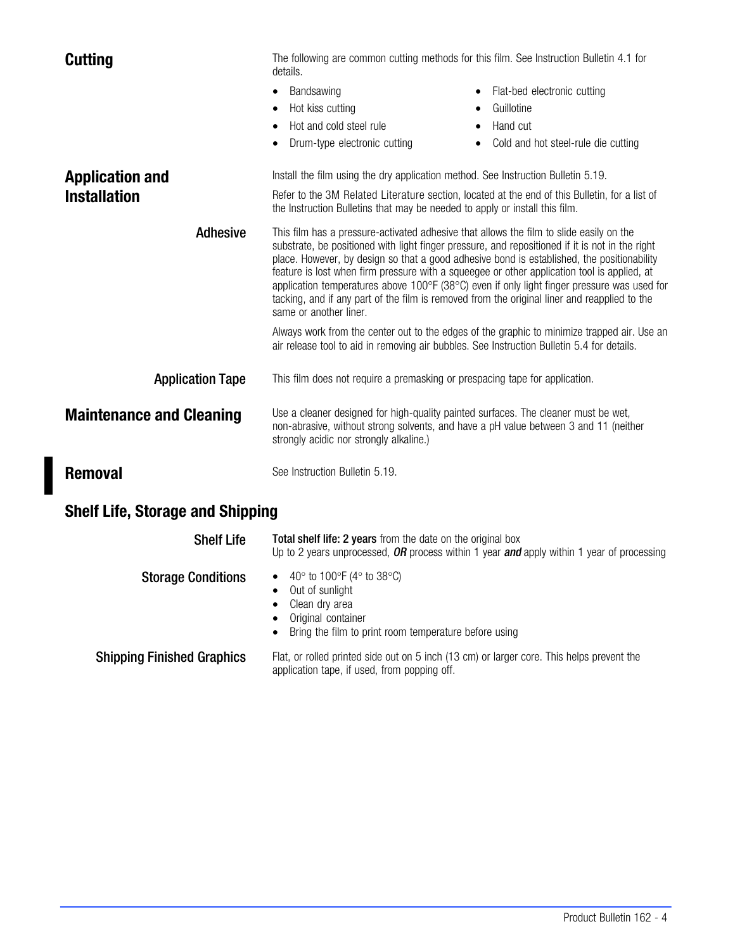| <b>Cutting</b>                          | The following are common cutting methods for this film. See Instruction Bulletin 4.1 for<br>details.                                                                                                                                                                                                                                                                                                                                                                                                                                                                                                                                 |  |  |
|-----------------------------------------|--------------------------------------------------------------------------------------------------------------------------------------------------------------------------------------------------------------------------------------------------------------------------------------------------------------------------------------------------------------------------------------------------------------------------------------------------------------------------------------------------------------------------------------------------------------------------------------------------------------------------------------|--|--|
|                                         | Bandsawing<br>Flat-bed electronic cutting<br>Hot kiss cutting<br>Guillotine<br>$\bullet$<br>Hot and cold steel rule<br>Hand cut<br>Drum-type electronic cutting<br>Cold and hot steel-rule die cutting                                                                                                                                                                                                                                                                                                                                                                                                                               |  |  |
| <b>Application and</b>                  | Install the film using the dry application method. See Instruction Bulletin 5.19.                                                                                                                                                                                                                                                                                                                                                                                                                                                                                                                                                    |  |  |
| <b>Installation</b>                     | Refer to the 3M Related Literature section, located at the end of this Bulletin, for a list of<br>the Instruction Bulletins that may be needed to apply or install this film.                                                                                                                                                                                                                                                                                                                                                                                                                                                        |  |  |
| <b>Adhesive</b>                         | This film has a pressure-activated adhesive that allows the film to slide easily on the<br>substrate, be positioned with light finger pressure, and repositioned if it is not in the right<br>place. However, by design so that a good adhesive bond is established, the positionability<br>feature is lost when firm pressure with a squeegee or other application tool is applied, at<br>application temperatures above 100 $\degree$ F (38 $\degree$ C) even if only light finger pressure was used for<br>tacking, and if any part of the film is removed from the original liner and reapplied to the<br>same or another liner. |  |  |
|                                         | Always work from the center out to the edges of the graphic to minimize trapped air. Use an<br>air release tool to aid in removing air bubbles. See Instruction Bulletin 5.4 for details.                                                                                                                                                                                                                                                                                                                                                                                                                                            |  |  |
| <b>Application Tape</b>                 | This film does not require a premasking or prespacing tape for application.                                                                                                                                                                                                                                                                                                                                                                                                                                                                                                                                                          |  |  |
| <b>Maintenance and Cleaning</b>         | Use a cleaner designed for high-quality painted surfaces. The cleaner must be wet,<br>non-abrasive, without strong solvents, and have a pH value between 3 and 11 (neither<br>strongly acidic nor strongly alkaline.)                                                                                                                                                                                                                                                                                                                                                                                                                |  |  |
| <b>Removal</b>                          | See Instruction Bulletin 5.19.                                                                                                                                                                                                                                                                                                                                                                                                                                                                                                                                                                                                       |  |  |
| <b>Shelf Life, Storage and Shipping</b> |                                                                                                                                                                                                                                                                                                                                                                                                                                                                                                                                                                                                                                      |  |  |
| <b>Shelf Life</b>                       | Total shelf life: 2 years from the date on the original box<br>Up to 2 years unprocessed, $OR$ process within 1 year and apply within 1 year of processing                                                                                                                                                                                                                                                                                                                                                                                                                                                                           |  |  |
| <b>Storage Conditions</b>               | 40° to 100°F (4° to 38°C)<br>Out of sunlight<br>$\bullet$                                                                                                                                                                                                                                                                                                                                                                                                                                                                                                                                                                            |  |  |

- Clean dry area
- Original container
- Bring the film to print room temperature before using

Shipping Finished Graphics Flat, or rolled printed side out on 5 inch (13 cm) or larger core. This helps prevent the application tape, if used, from popping off.